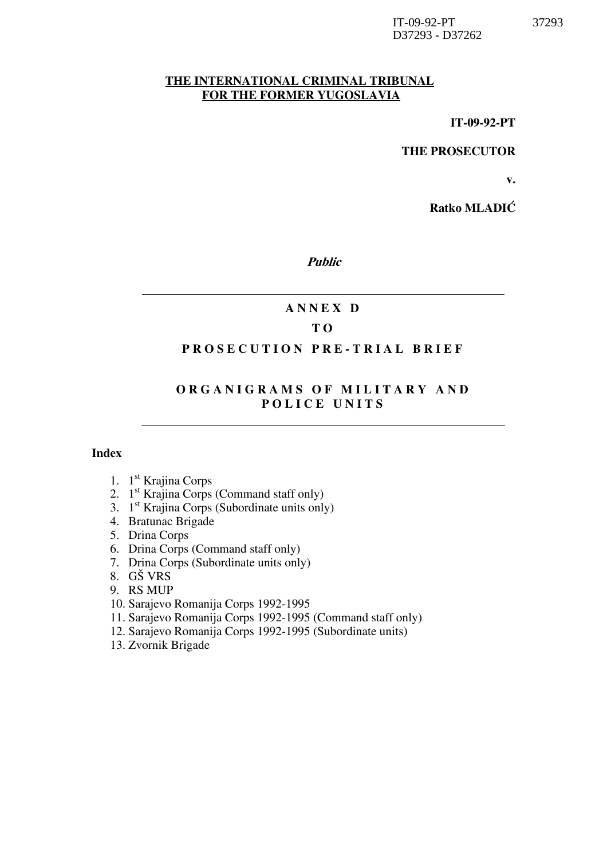#### THE INTERNATIONAL CRIMINAL TRIBUNAL FOR THE FORMER YUGOSLAVIA

IT-09-92-PT

THE PROSECUTOR

v.

Ratko MLADIĆ

Public

## A N N E X D

## T O

### PROSECUTION PRE-TRIAL BRIEF

## ORGANIGRAMS OF MILITARY AND POLICE UNITS

#### Index

- 1. 1 st Krajina Corps
- 2. 1<sup>st</sup> Krajina Corps (Command staff only)
- 3. 1 st Krajina Corps (Subordinate units only)
- 4. Bratunac Brigade
- 5. Drina Corps
- 6. Drina Corps (Command staff only)
- 7. Drina Corps (Subordinate units only)
- 8. GŠ VRS
- 9. RS MUP
- 10. Sarajevo Romanija Corps 1992-1995
- 11. Sarajevo Romanija Corps 1992-1995 (Command staff only)
- 12. Sarajevo Romanija Corps 1992-1995 (Subordinate units)
- 13. Zvornik Brigade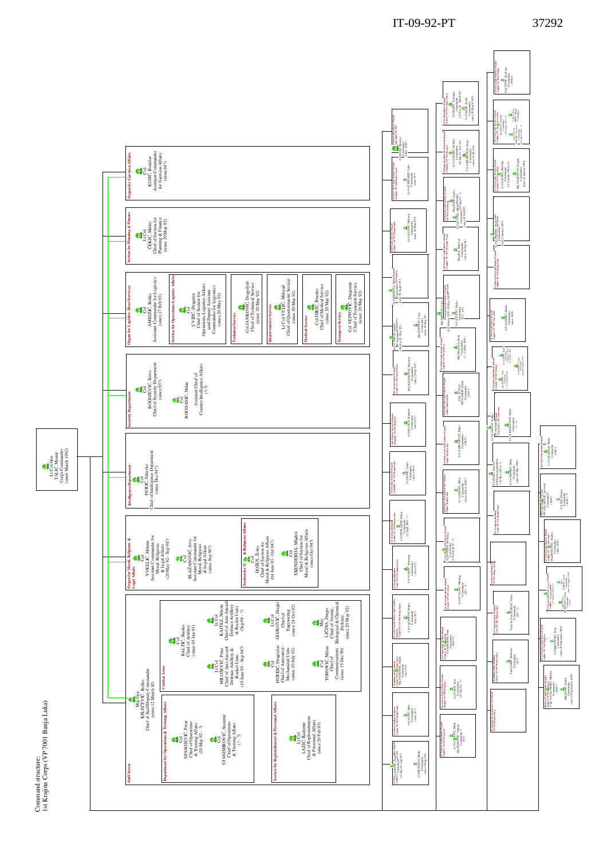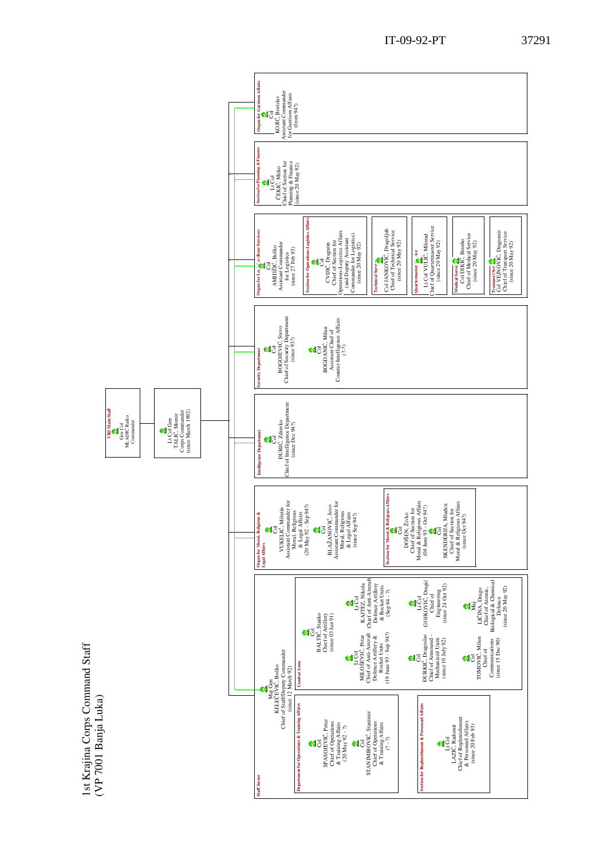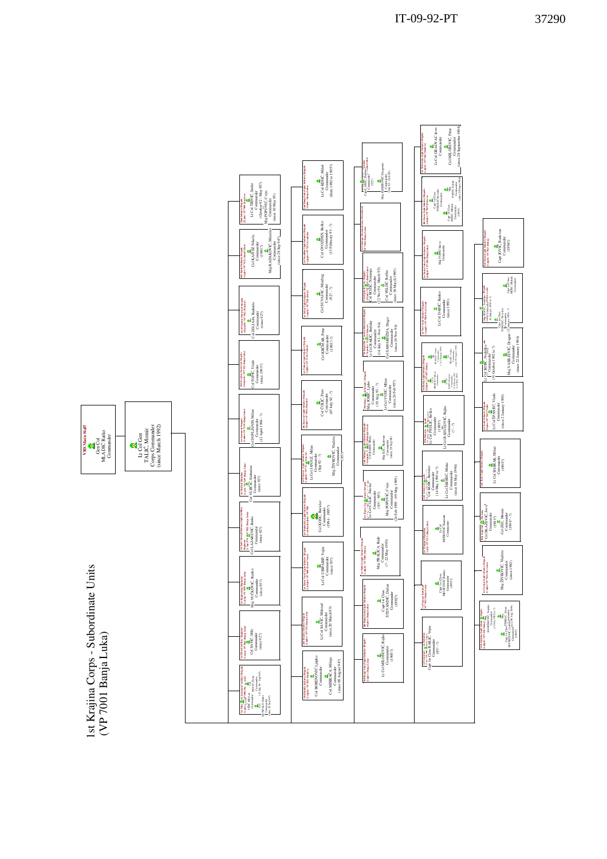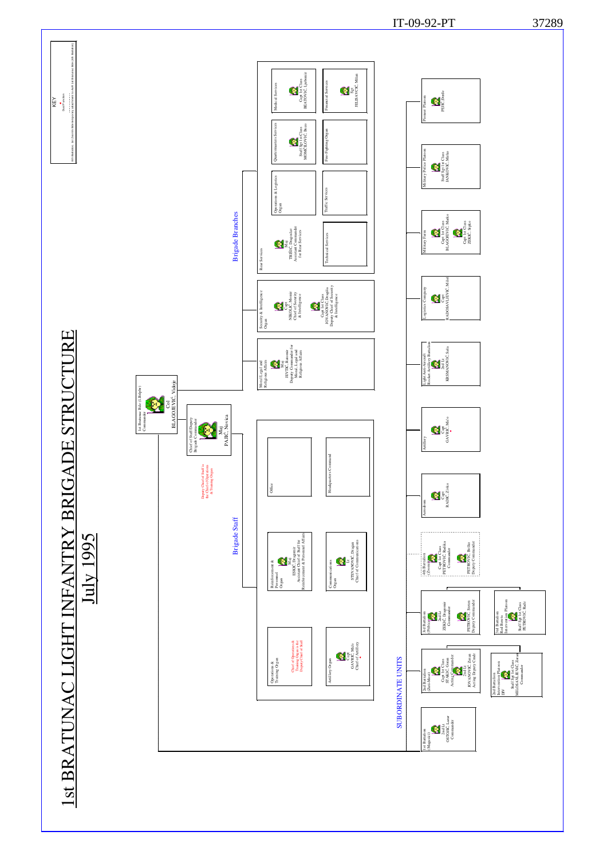

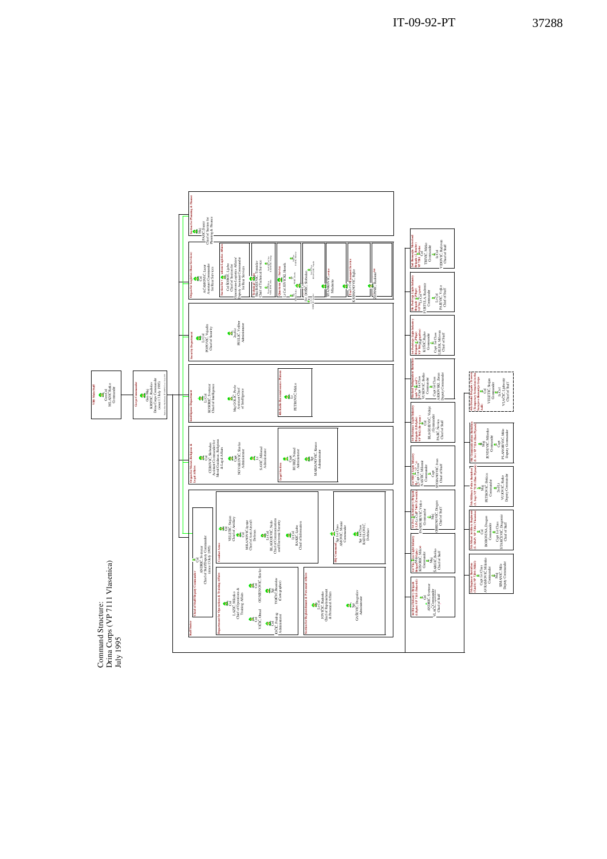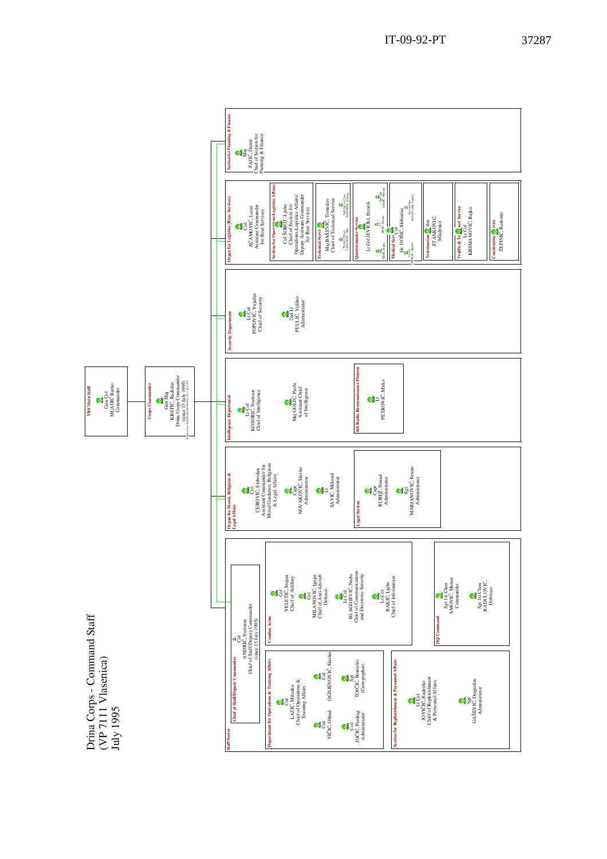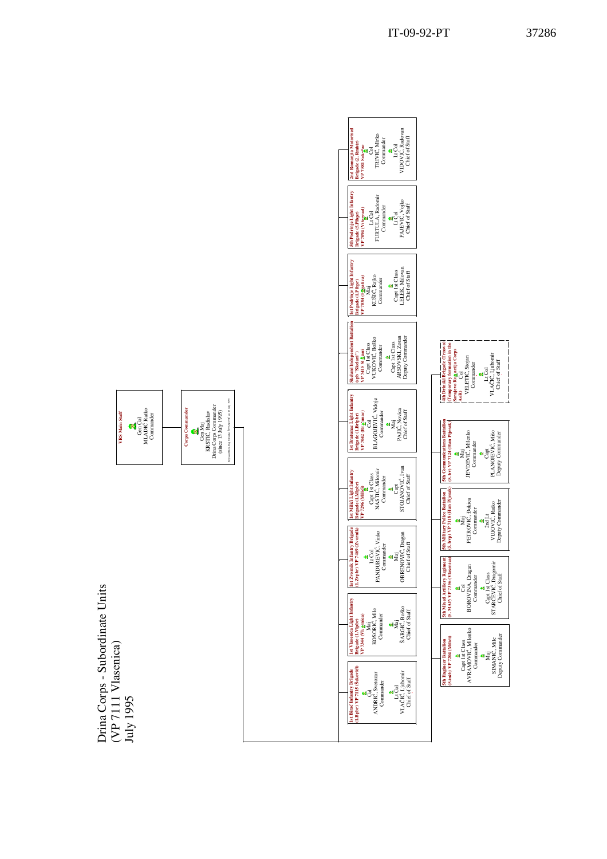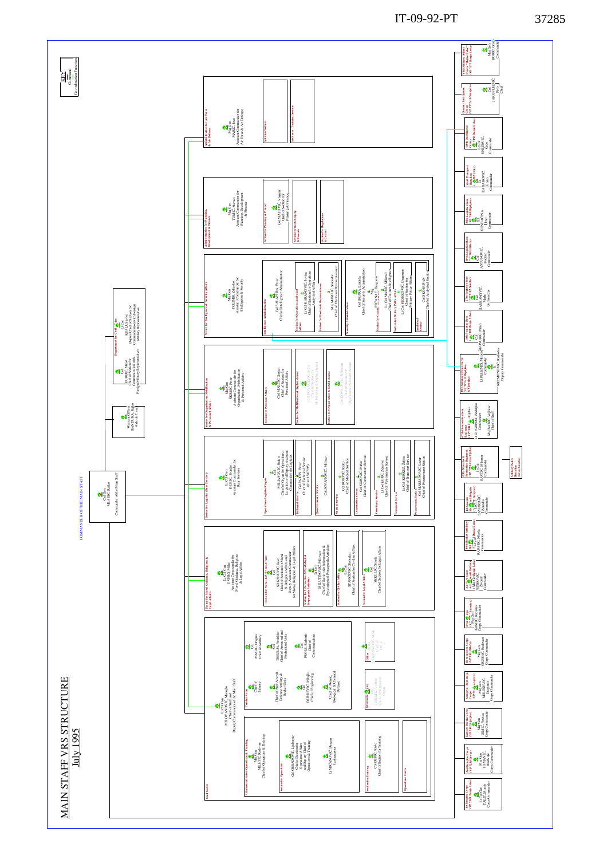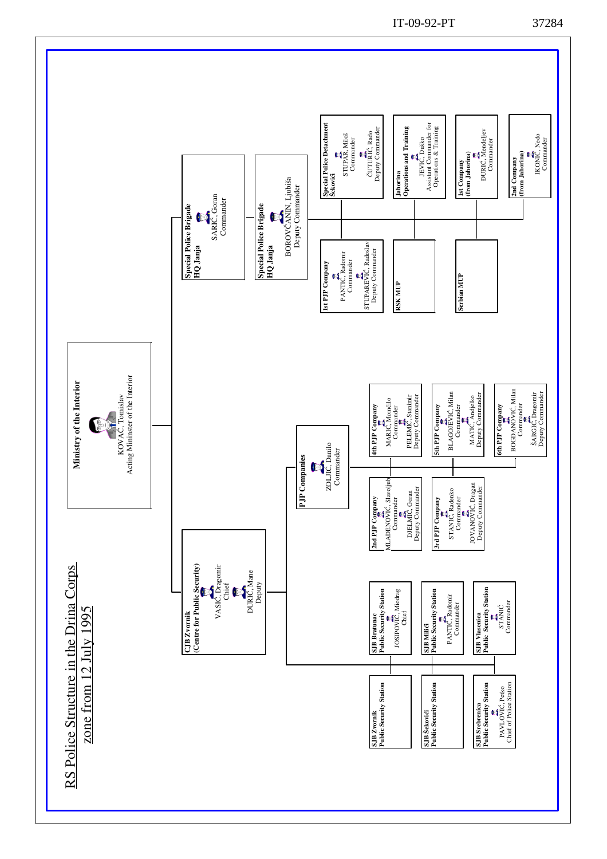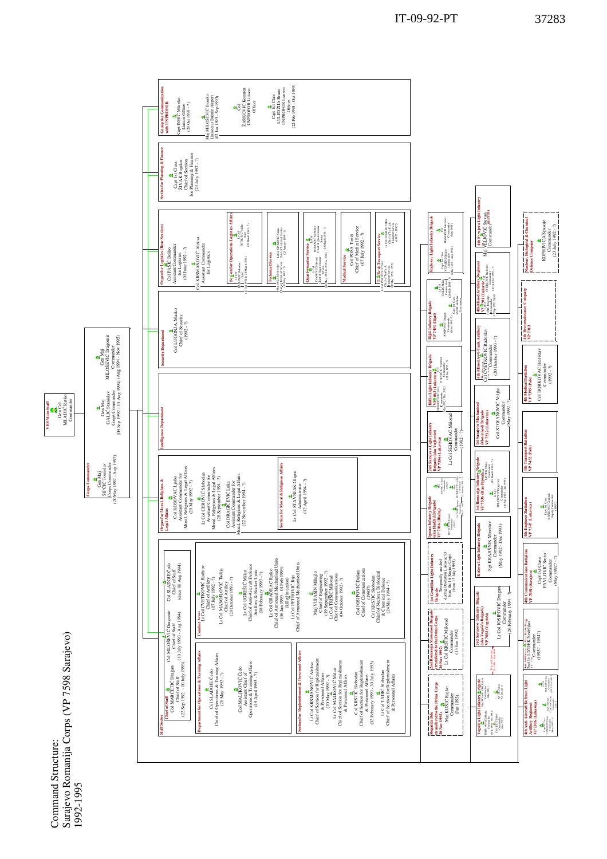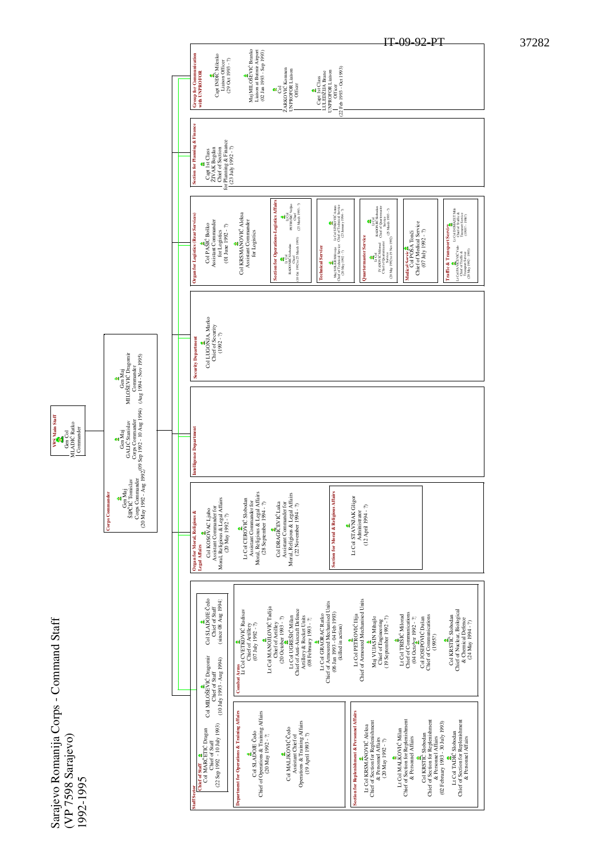Sarajevo Romanija Corps - Command Staff Sarajevo Romanija Corps - Command Staff (VP 7598 Sarajevo) (VP 7598 Sarajevo) 1992-1995





Corps Commander

**Jorps** Commander

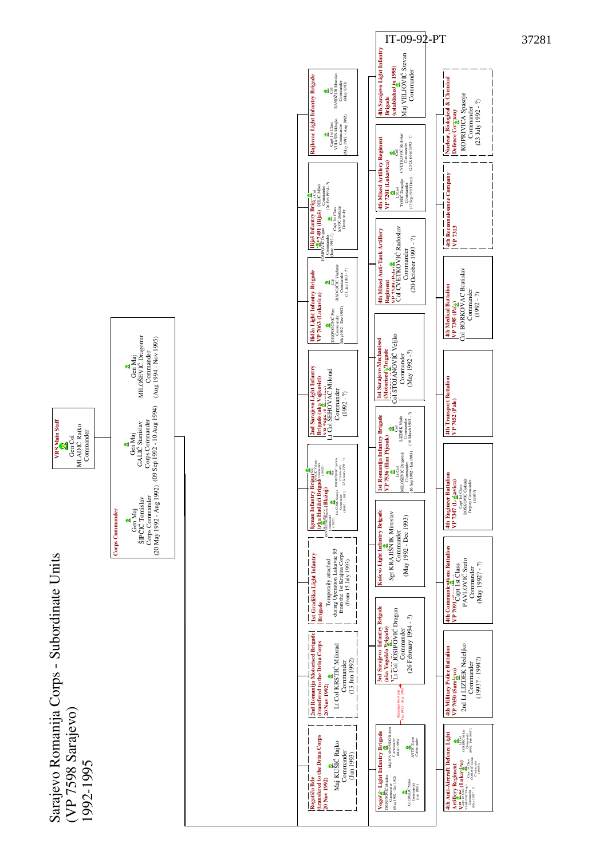

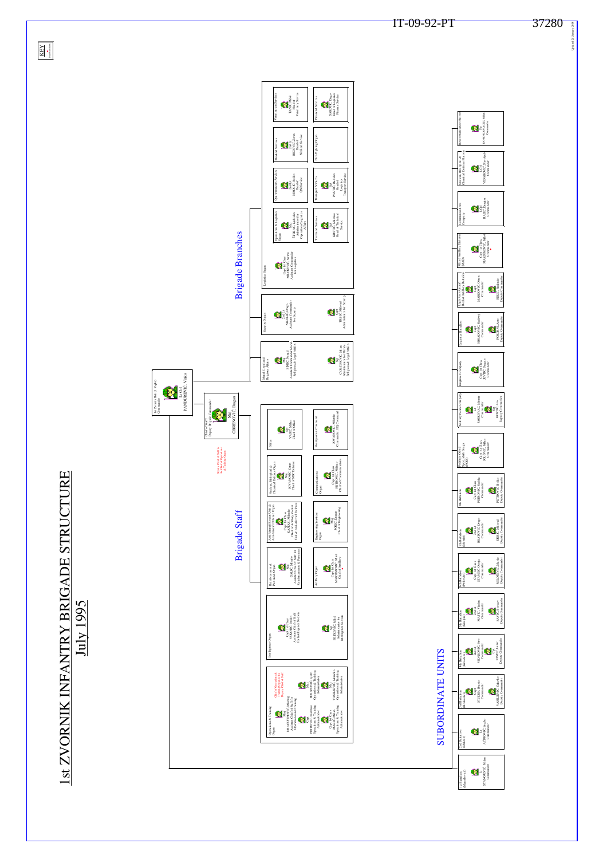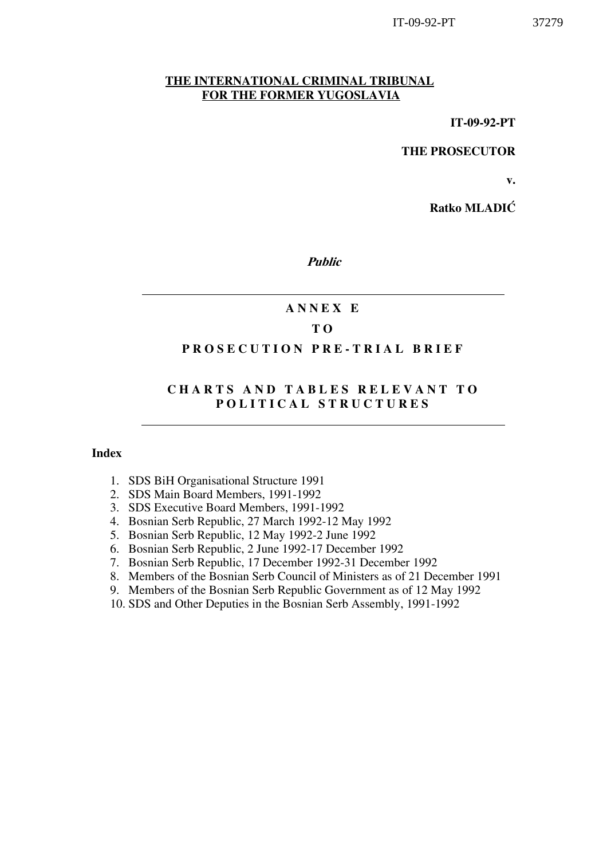#### THE INTERNATIONAL CRIMINAL TRIBUNAL FOR THE FORMER YUGOSLAVIA

THE PROSECUTOR

v.

Ratko MLADIĆ

Public

## A N N E X E

## T O

#### PROSECUTION PRE-TRIAL BRIEF

## CHARTS AND TABLES RELEVANT TO POLITICAL STRUCTURES

#### Index

- 1. SDS BiH Organisational Structure 1991
- 2. SDS Main Board Members, 1991-1992
- 3. SDS Executive Board Members, 1991-1992
- 4. Bosnian Serb Republic, 27 March 1992-12 May 1992
- 5. Bosnian Serb Republic, 12 May 1992-2 June 1992
- 6. Bosnian Serb Republic, 2 June 1992-17 December 1992
- 7. Bosnian Serb Republic, 17 December 1992-31 December 1992
- 8. Members of the Bosnian Serb Council of Ministers as of 21 December 1991
- 9. Members of the Bosnian Serb Republic Government as of 12 May 1992
- 10. SDS and Other Deputies in the Bosnian Serb Assembly, 1991-1992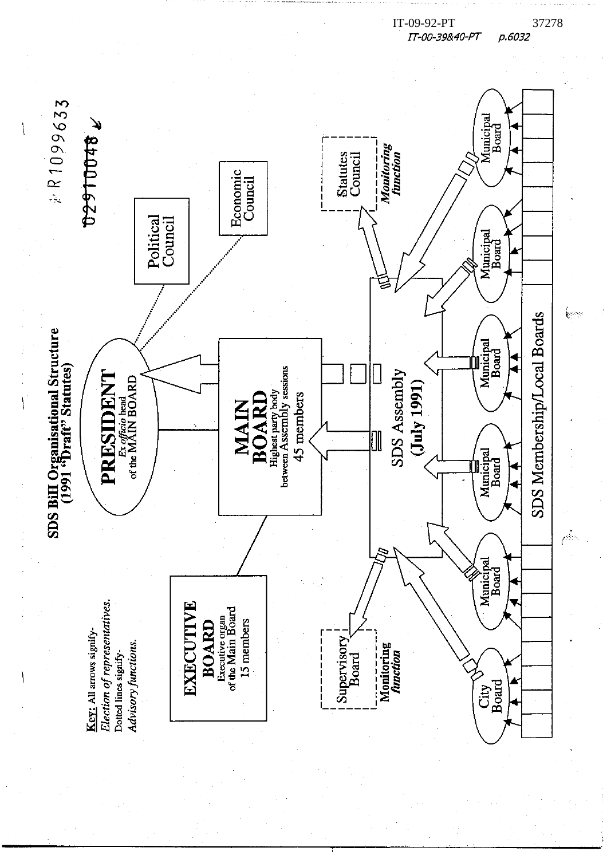

IT-09-92-PT 37278<br>TT-00-39&40-PT p.6032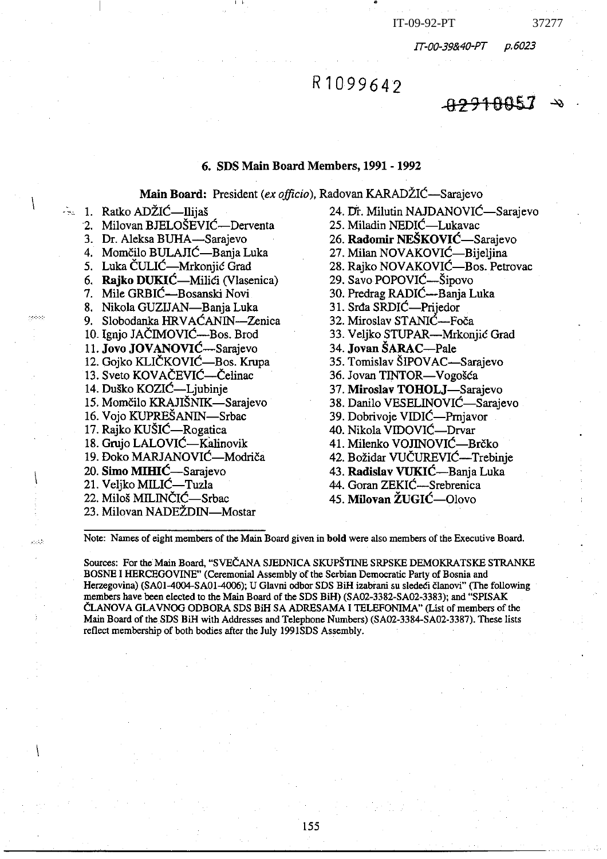p.6023 IT-00-39&40-PT

<del>822100</del>57

# R1099642

#### 6. SDS Main Board Members, 1991 - 1992

Main Board: President (ex officio), Radovan KARADŽIĆ—Sarajevo

- $\approx 1$ . Ratko ADŽIĆ—Ilijaš
	- 2. Milovan BJELOŠEVIĆ—Derventa
	- 3. Dr. Aleksa BUHA-Sarajevo
	- 4. Momčilo BULAJIĆ—Banja Luka
	- 5. Luka ČULIĆ—Mrkonjić Grad
	- 6. Rajko DUKIĆ—Milići (Vlasenica)
	- 7. Mile GRBIĆ-Bosanski Novi
	- 8. Nikola GUZIJAN-Banja Luka
	- 9. Slobodanka HRVAĆANIN-Zenica
	- 10. Ignio JAČIMOVIĆ—Bos. Brod
	- 11. Jovo JOVANOVIĆ—Sarajevo
	- 12. Gojko KLIČKOVIĆ-Bos. Krupa
	- 13. Sveto KOVAČEVIĆ—Čelinac
	- 14. Duško KOZIĆ—Ljubinje
	- 15. Momčilo KRAJIŠNIK—Sarajevo
	- 16. Vojo KUPREŠANIN—Srbac
	- 17. Rajko KUŠIĆ—Rogatica
	- 18. Gruio LALOVIĆ—Kalinovik
	- 19. Đoko MARJANOVIĆ—Modriča
	- 20. Simo MIHIĆ—Sarajevo
	- 21. Veljko MILIĆ—Tuzla
	- 22. Miloš MILINČIĆ-Srbac

etari.

- 23. Milovan NADEŽDIN—Mostar
- 24. Dr. Milutin NAJDANOVIĆ—Sarajevo 25. Miladin NEDIĆ—Lukavac 26. Radomir NEŠKOVIĆ—Sarajevo 27. Milan NOVAKOVIĆ—Bijeljina 28. Rajko NOVAKOVIĆ—Bos. Petrovac 29. Savo POPOVIĆ-Šipovo 30. Predrag RADIĆ—Banja Luka 31. Srda SRDIĆ—Prijedor 32. Miroslav STANIĆ-Foča 33. Veljko STUPAR—Mrkonjić Grad 34. Jovan ŠARAC—Pale 35. Tomislav ŠIPOVAC—Sarajevo 36. Jovan TINTOR-Vogošća 37. Miroslav TOHOLJ-Sarajevo 38. Danilo VESELINOVIĆ—Sarajevo 39. Dobrivoje VIDIĆ—Prnjavor 40. Nikola VIDOVIĆ—Drvar 41. Milenko VOJINOVIĆ—Brčko 42. Božidar VUČUREVIĆ—Trebinje 43. Radislav VUKIĆ—Banja Luka 44. Goran ZEKIĆ—Srebrenica
- 45. Milovan ŽUGIĆ—Olovo

Note: Names of eight members of the Main Board given in bold were also members of the Executive Board.

Sources: For the Main Board, "SVEČANA SJEDNICA SKUPŠTINE SRPSKE DEMOKRATSKE STRANKE BOSNE I HERCEGOVINE" (Ceremonial Assembly of the Serbian Democratic Party of Bosnia and Herzegovina) (SA01-4004-SA01-4006); U Glavni odbor SDS BiH izabrani su sledeći članovi" (The following members have been elected to the Main Board of the SDS BiH) (SA02-3382-SA02-3383); and "SPISAK ČLANOVA GLAVNOG ODBORA SDS BiH SA ADRESAMA I TELEFONIMA" (List of members of the Main Board of the SDS BiH with Addresses and Telephone Numbers) (SA02-3384-SA02-3387). These lists reflect membership of both bodies after the July 1991SDS Assembly.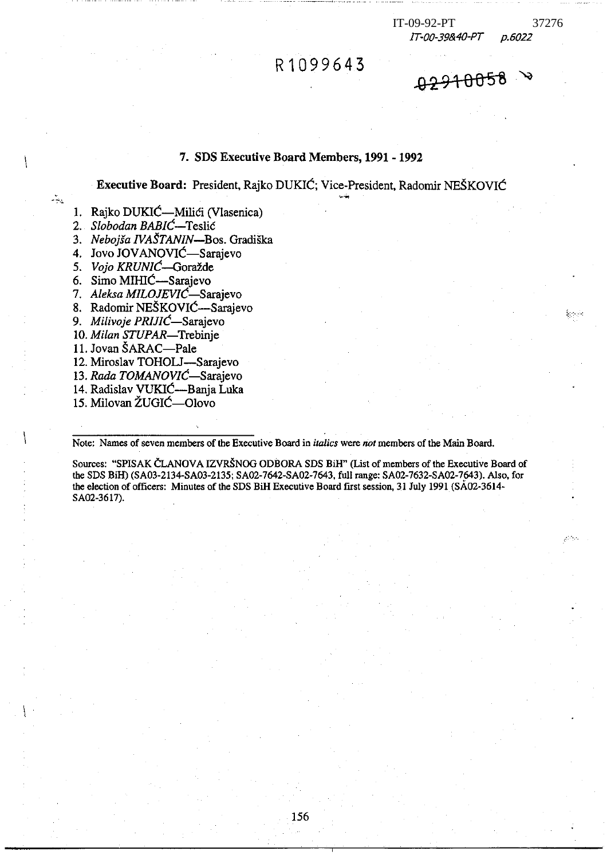| IT-09-92-PT |                          |
|-------------|--------------------------|
|             | $\tau$ oo dolaalt $\tau$ |

37276

p.6022 11-00-39840-P

<del>9291005</del>8

## 7. SDS Executive Board Members, 1991 - 1992

R1099643

Executive Board: President, Rajko DUKIĆ; Vice-President, Radomir NEŠKOVIĆ

1. Rajko DUKIĆ—Milići (Vlasenica)

2. Slobodan BABIC-Teslic

-52

3. Nebojša IVAŠTANIN-Bos. Gradiška<br>4. Jovo JOVANOVIĆ-Sarajevo

5. Vojo KRUNIĆ—Goražde<br>6. Simo MIHIĆ—Sarajevo

7. Aleksa MILOJEVIĆ-Sarajevo

8. Radomir NEŠKOVIĆ—Sarajevo

9. Milivoje PRIJIĆ—Sarajevo

10. Milan STUPAR-Trebinje

11. Jovan ŠARAC-Pale

12. Miroslav TOHOLJ-Sarajevo

13. Rada TOMANOVIĆ-Sarajevo

14. Radislav VUKIĆ-Banja Luka

15. Milovan ŽUGIĆ-Olovo

Note: Names of seven members of the Executive Board in *italics* were not members of the Main Board.

Sources: "SPISAK ČLANOVA IZVRŠNOG ODBORA SDS BiH" (List of members of the Executive Board of the SDS BiH) (SA03-2134-SA03-2135; SA02-7642-SA02-7643, full range: SA02-7632-SA02-7643). Also, for the election of officers: Minutes of the SDS BiH Executive Board first session, 31 July 1991 (SA02-3614-SA02-3617).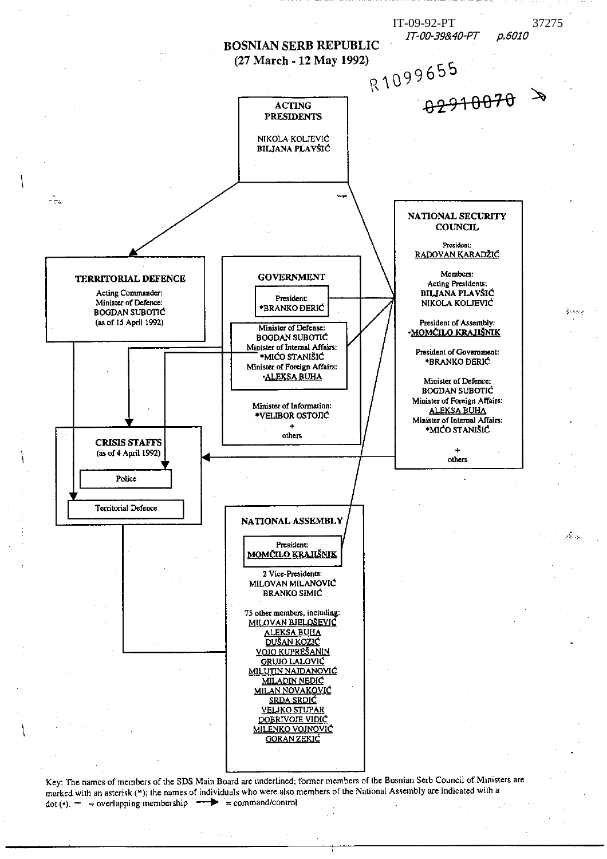

Key: The names of members of the SDS Main Board are underlined; former members of the Bosnian Serb Council of Ministers are marked with an asterisk (\*); the names of individuals who were also members of the National Assembly are indicated with a dot (\*).  $-$  = overlapping membership  $\rightarrow$  = command/control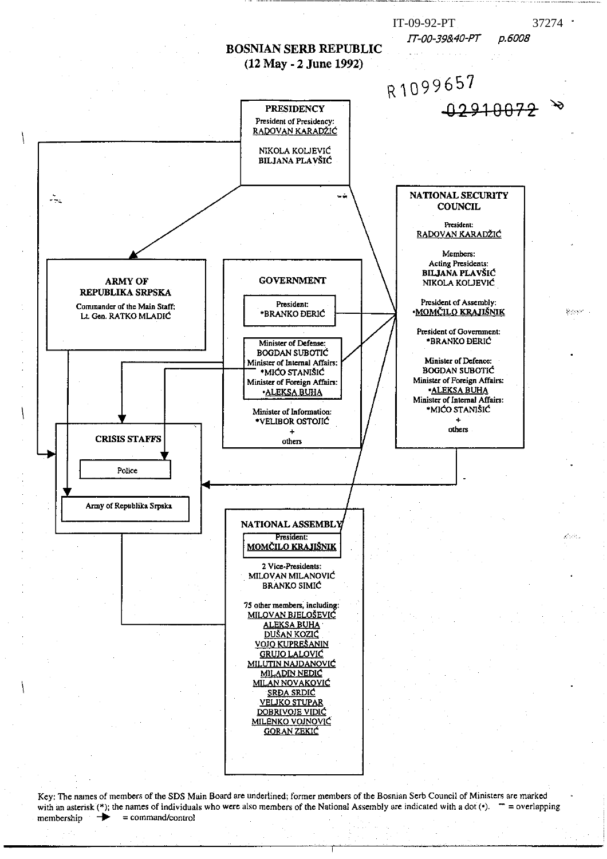

Key: The names of members of the SDS Main Board are underlined; former members of the Bosnian Serb Council of Ministers are marked with an asterisk (\*); the names of individuals who were also members of the National Assembly are indicated with a dot (\*).  $\mathbf{r} =$  overlapping  $=$  command/control membership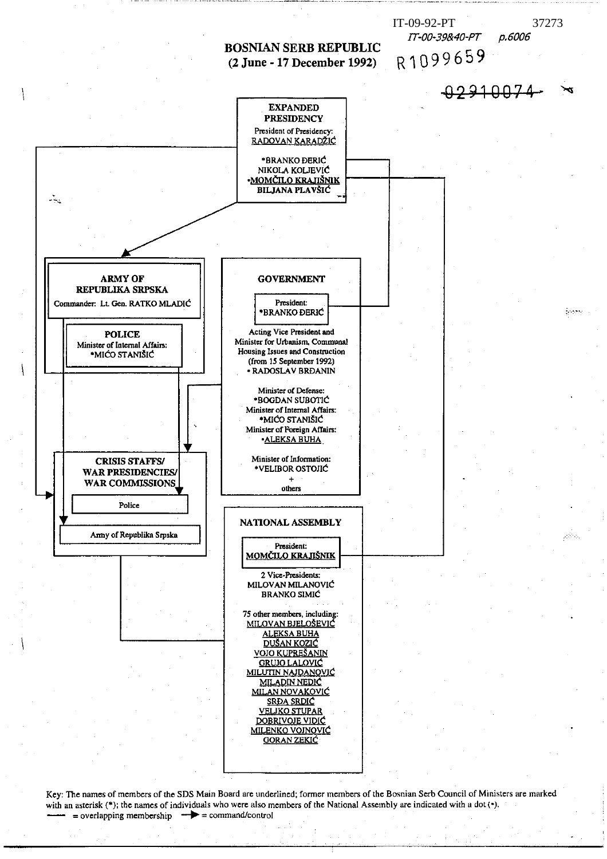

Key: The names of members of the SDS Main Board are underlined; former members of the Bosnian Serb Council of Ministers are marked with an asterisk (\*); the names of individuals who were also members of the National Assembly are indicated with a dot (\*). = overlapping membership  $\rightarrow$  = command/control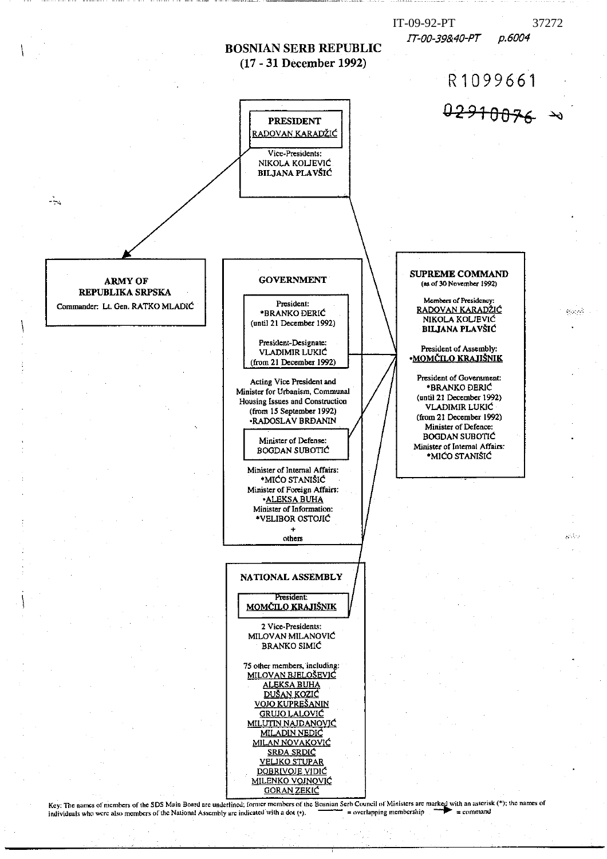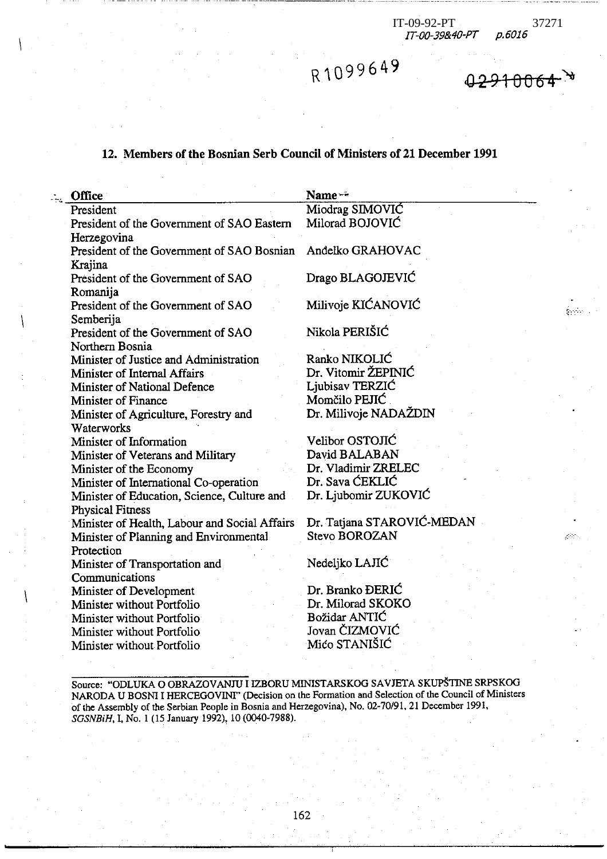$\frac{1}{2}$  ,  $\frac{1}{2}$ 

R1099649

<del>42910061</del>

## 12. Members of the Bosnian Serb Council of Ministers of 21 December 1991

| Office                                                      | Name **                    |
|-------------------------------------------------------------|----------------------------|
| President                                                   | Miodrag SIMOVIĆ            |
| President of the Government of SAO Eastern                  | Milorad BOJOVIĆ            |
| Herzegovina                                                 |                            |
| President of the Government of SAO Bosnian Andelko GRAHOVAC |                            |
| Krajina                                                     |                            |
| President of the Government of SAO                          | Drago BLAGOJEVIĆ           |
| Romanija                                                    |                            |
| President of the Government of SAO                          | Milivoje KIĆANOVIĆ         |
| Semberija                                                   |                            |
| President of the Government of SAO                          | Nikola PERIŠIĆ             |
| Northern Bosnia                                             |                            |
| Minister of Justice and Administration                      | Ranko NIKOLIĆ              |
| Minister of Internal Affairs                                | Dr. Vitomir ŽEPINIĆ        |
| Minister of National Defence                                | Ljubisav TERZIĆ            |
| Minister of Finance                                         | Momčilo PEJIĆ              |
| Minister of Agriculture, Forestry and                       | Dr. Milivoje NADAŽDIN      |
| Waterworks                                                  |                            |
| Minister of Information                                     | Velibor OSTOJIĆ            |
| Minister of Veterans and Military                           | David BALABAN              |
| Minister of the Economy                                     | Dr. Vladimir ZRELEC        |
| Minister of International Co-operation                      | Dr. Sava ĆEKLIĆ            |
| Minister of Education, Science, Culture and                 | Dr. Ljubomir ZUKOVIĆ       |
| <b>Physical Fitness</b>                                     |                            |
| Minister of Health, Labour and Social Affairs               | Dr. Tatjana STAROVIĆ-MEDAN |
| Minister of Planning and Environmental                      | Stevo BOROZAN              |
| Protection                                                  |                            |
| Minister of Transportation and                              | Nedeljko LAJIĆ             |
| Communications                                              |                            |
| Minister of Development                                     | Dr. Branko ĐERIĆ           |
| Minister without Portfolio                                  | Dr. Milorad SKOKO          |
| Minister without Portfolio                                  | Božidar ANTIC              |
| Minister without Portfolio                                  | Jovan ČIZMOVIĆ             |
| Minister without Portfolio                                  | Mićo STANIŠIĆ              |
|                                                             |                            |

Source: "ODLUKA O OBRAZOVANJU I IZBORU MINISTARSKOG SAVJETA SKUPŠTINE SRPSKOG NARODA U BOSNI I HERCEGOVINI" (Decision on the Formation and Selection of the Council of Ministers of the Assembly of the Serbian People in Bosnia and Herzegovina), No. 02-70/91, 21 December 1991, SGSNBiH, I, No. 1 (15 January 1992), 10 (0040-7988).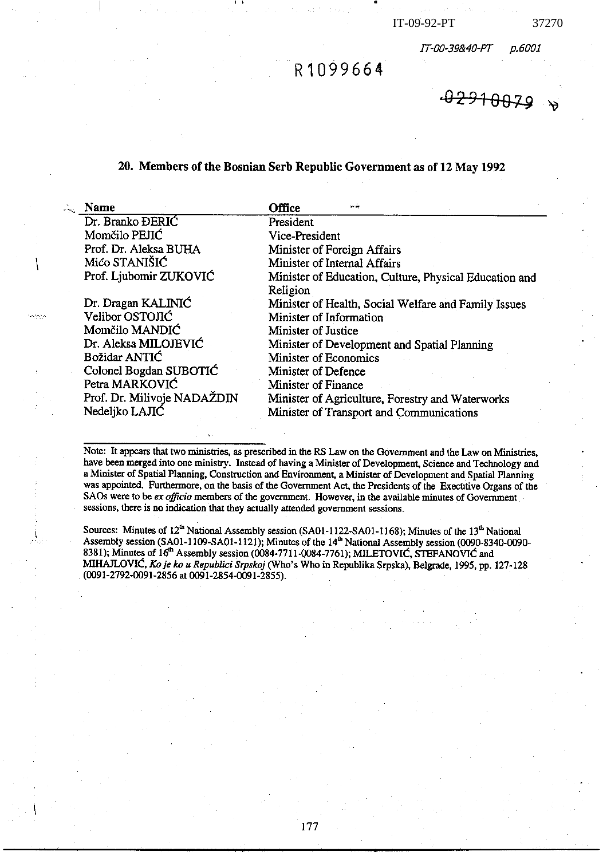IT-00-39&40-PT p.6001

 $02910079$ 

# R1099664

#### 20. Members of the Bosnian Serb Republic Government as of 12 May 1992

| <b>Name</b>                 | Office                                                 |
|-----------------------------|--------------------------------------------------------|
| Dr. Branko ĐERIĆ            | President                                              |
| Momčilo PEJIĆ               | Vice-President                                         |
| Prof. Dr. Aleksa BUHA       | Minister of Foreign Affairs                            |
| Mićo STANIŠIĆ               | Minister of Internal Affairs                           |
| Prof. Ljubomir ZUKOVIĆ      | Minister of Education, Culture, Physical Education and |
|                             | Religion                                               |
| Dr. Dragan KALINIĆ          | Minister of Health, Social Welfare and Family Issues   |
| Velibor OSTOJIĆ             | Minister of Information                                |
| Momčilo MANDIĆ              | Minister of Justice                                    |
| Dr. Aleksa MILOJEVIĆ        | Minister of Development and Spatial Planning           |
| Božidar ANTIC               | Minister of Economics                                  |
| Colonel Bogdan SUBOTIC      | Minister of Defence                                    |
| Petra MARKOVIĆ              | Minister of Finance                                    |
| Prof. Dr. Milivoje NADAŽDIN | Minister of Agriculture, Forestry and Waterworks       |
| Nedeljko LAJIĆ              | Minister of Transport and Communications               |

undeki

Note: It appears that two ministries, as prescribed in the RS Law on the Government and the Law on Ministries, have been merged into one ministry. Instead of having a Minister of Development, Science and Technology and a Minister of Spatial Planning, Construction and Environment, a Minister of Development and Spatial Planning was appointed. Furthermore, on the basis of the Government Act, the Presidents of the Executive Organs of the SAOs were to be ex officio members of the government. However, in the available minutes of Government sessions, there is no indication that they actually attended government sessions.

Sources: Minutes of 12<sup>th</sup> National Assembly session (SA01-1122-SA01-1168); Minutes of the 13<sup>th</sup> National Assembly session (SA01-1109-SA01-1121); Minutes of the 14<sup>th</sup> National Assembly session (0090-8340-0090-8381); Minutes of 16<sup>th</sup> Assembly session (0084-7711-0084-7761); MILETOVIC, STEFANOVIC and MIHAJLOVIĆ, Ko je ko u Republici Srpskoj (Who's Who in Republika Srpska), Belgrade, 1995, pp. 127-128 (0091-2792-0091-2856 at 0091-2854-0091-2855).

177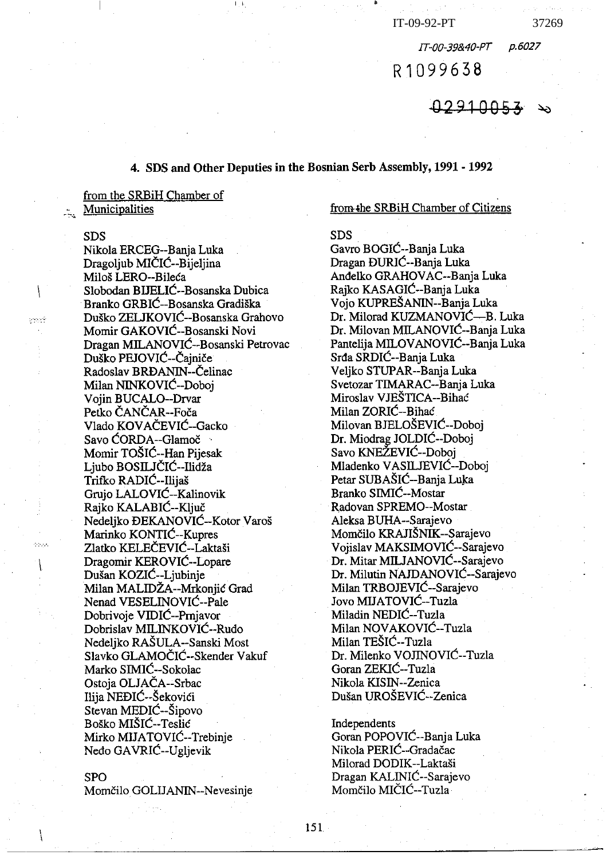p.6027

37269

R1099638

IT-00-39&40-PT

 $02910053$ 

## 4. SDS and Other Deputies in the Bosnian Serb Assembly, 1991 - 1992

from the SRBiH Chamber of Municipalities

## **SDS**

فيجرم

وورده

Nikola ERCEG--Banja Luka Dragoljub MIČIĆ--Bijeljina Miloš LERO--Bileća Slobodan BIJELIĆ--Bosanska Dubica Branko GRBIĆ--Bosanska Gradiška Duško ZELJKOVIĆ--Bosanska Grahovo Momir GAKOVIĆ--Bosanski Novi Dragan MILANOVIĆ--Bosanski Petrovac Duško PEJOVIĆ--Čajniče Radoslav BRĐANIN--Čelinac Milan NINKOVIĆ--Doboj Vojin BUCALO--Drvar Petko ČANČAR--Foča Vlado KOVAČEVIĆ--Gacko Savo CORDA--Glamoč Momir TOŠIĆ--Han Pijesak Liubo BOSILJČIĆ-Ilidža Trifko RADIĆ -- Ilijaš Grujo LALOVIĆ--Kalinovik Rajko KALABIĆ--Ključ Nedeliko ĐEKANOVIĆ--Kotor Varoš Marinko KONTIĆ--Kupres Zlatko KELEČEVIĆ--Laktaši Dragomir KEROVIĆ--Lopare Dušan KOZIĆ--Ljubinje Milan MALIDŽA--Mrkonjić Grad Nenad VESELINOVIC--Pale Dobrivoje VIDIĆ--Prnjavor Dobrislav MILINKOVIĆ--Rudo Nedeljko RAŠULA--Sanski Most Slavko GLAMOČIĆ--Skender Vakuf Marko SIMIĆ--Sokolac Ostoja OLJAČA--Srbac Ilija NEĐIĆ--Šekovići Stevan MEDIĆ--Šipovo Boško MIŠIĆ--Teslić Mirko MIJATOVIĆ--Trebinje Nedo GAVRIC--Ugljevik

#### **SPO**

Momčilo GOLIJANIN--Nevesinje

#### from the SRBiH Chamber of Citizens

**SDS** 

Gavro BOGIC--Banja Luka Dragan ĐURIĆ--Banja Luka Anđelko GRAHOVAC--Banja Luka Rajko KASAGIC--Banja Luka Vojo KUPREŠANIN--Banja Luka Dr. Milorad KUZMANOVIĆ--- B. Luka Dr. Milovan MILANOVIĆ--Bania Luka Pantelija MILOVANOVIĆ--Banja Luka Srđa SRDIĆ--Banja Luka Veljko STUPAR--Banja Luka Svetozar TIMARAC--Banja Luka Miroslav VJEŠTICA--Bihać Milan ZORIĆ--Bihać Milovan BJELOŠEVIĆ--Doboj Dr. Miodrag JOLDIĆ--Doboj Savo KNEŽEVIĆ--Doboj Mladenko VASILJEVIĆ--Doboj Petar SUBAŠIĆ--Banja Luka Branko SIMIĆ--Mostar Radovan SPREMO--Mostar Aleksa BUHA--Sarajevo Momčilo KRAJIŠNIK--Sarajevo Vojislav MAKSIMOVIĆ--Sarajevo Dr. Mitar MILJANOVIĆ--Sarajevo Dr. Milutin NAJDANOVIĆ--Sarajevo Milan TRBOJEVIĆ--Sarajevo Jovo MIJATOVIĆ--Tuzla Miladin NEDIC--Tuzla Milan NOVAKOVIĆ--Tuzla Milan TEŠIĆ--Tuzla Dr. Milenko VOJINOVIĆ--Tuzla Goran ZEKIĆ--Tuzla Nikola KISIN--Zenica Dušan UROŠEVIĆ--Zenica

Independents Goran POPOVIĆ--Banja Luka Nikola PERIĆ--Gradačac Milorad DODIK--Laktaši Dragan KALINIĆ--Sarajevo Momčilo MIČIĆ--Tuzla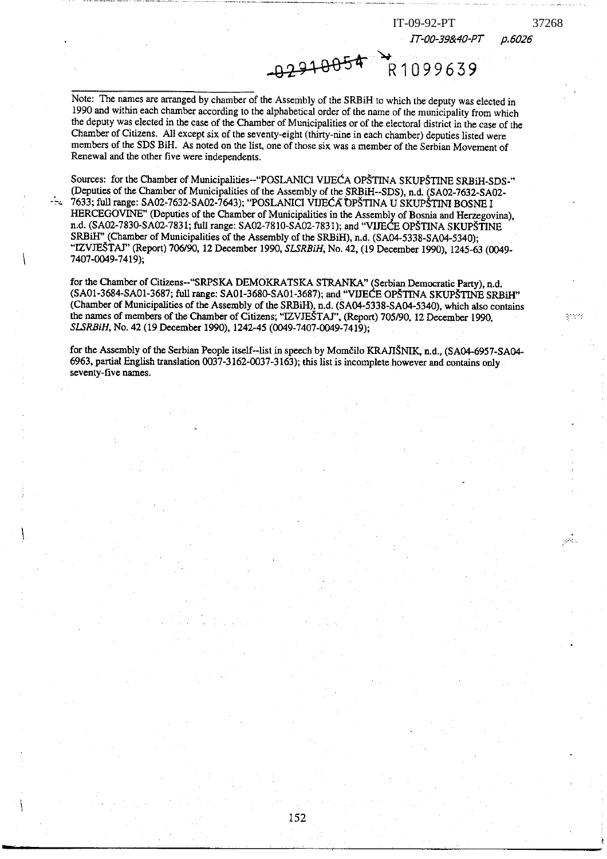IT-00-39&40-PT

IT-09-92-PT

R1099639

37268

 $\mathcal{O}(k)$ 

p.6026

Note: The names are arranged by chamber of the Assembly of the SRBiH to which the deputy was elected in 1990 and within each chamber according to the alphabetical order of the name of the municipality from which the deputy was elected in the case of the Chamber of Municipalities or of the electoral district in the case of the Chamber of Citizens. All except six of the seventy-eight (thirty-nine in each chamber) deputies listed were members of the SDS BiH. As noted on the list, one of those six was a member of the Serbian Movement of Renewal and the other five were independents.

02910054

Sources: for the Chamber of Municipalities--"POSLANICI VIJEĆA OPŠTINA SKUPŠTINE SRBiH-SDS-" (Deputies of the Chamber of Municipalities of the Assembly of the SRBiH--SDS), n.d. (SA02-7632-SA02-7633; full range: SA02-7632-SA02-7643); "POSLANICI VIJEĆA OPŠTINA U SKUPŠTINI BOSNE I HERCEGOVINE" (Deputies of the Chamber of Municipalities in the Assembly of Bosnia and Herzegovina), n.d. (SA02-7830-SA02-7831; full range: SA02-7810-SA02-7831); and "VIJECE OPŠTINA SKUPŠTINE SRBiH" (Chamber of Municipalities of the Assembly of the SRBiH), n.d. (SA04-5338-SA04-5340); "IZVJEŠTAJ" (Report) 706/90, 12 December 1990, SLSRBiH, No. 42, (19 December 1990), 1245-63 (0049-7407-0049-7419);

for the Chamber of Citizens--"SRPSKA DEMOKRATSKA STRANKA" (Serbian Democratic Party), n.d. (SA01-3684-SA01-3687; full range: SA01-3680-SA01-3687); and "VIJECE OPŠTINA SKUPŠTINE SRBiH" (Chamber of Municipalities of the Assembly of the SRBiH), n.d. (SA04-5338-SA04-5340), which also contains the names of members of the Chamber of Citizens; "IZVJEŠTAJ", (Report) 705/90, 12 December 1990, SLSRBiH, No. 42 (19 December 1990), 1242-45 (0049-7407-0049-7419);

for the Assembly of the Serbian People itself--list in speech by Momčilo KRAJIŠNIK, n.d., (SA04-6957-SA04-6963, partial English translation 0037-3162-0037-3163); this list is incomplete however and contains only seventy-five names.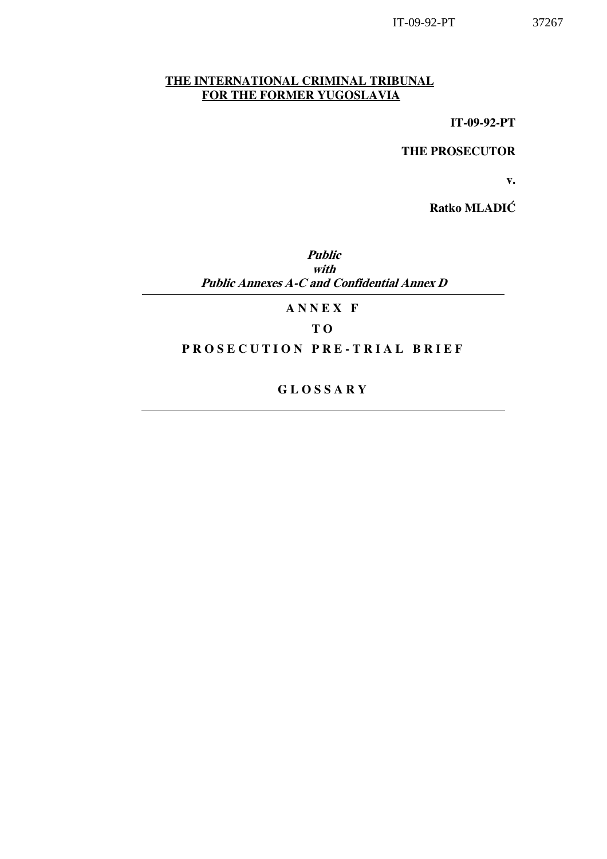## THE INTERNATIONAL CRIMINAL TRIBUNAL FOR THE FORMER YUGOSLAVIA

IT-09-92-PT

THE PROSECUTOR

v.

Ratko MLADIĆ

Public with Public Annexes A-C and Confidential Annex D

A N N E X F

## T O

## PROSECUTION PRE-TRIAL BRIEF

G L O S S A R Y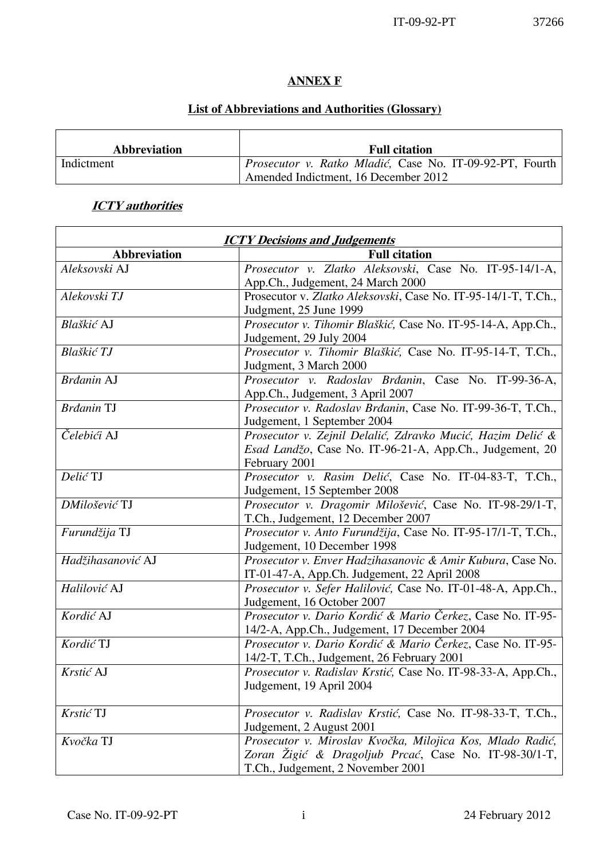L,

## ANNEX F

## List of Abbreviations and Authorities (Glossary)

| <b>Abbreviation</b> | <b>Full citation</b>                                     |
|---------------------|----------------------------------------------------------|
| Indictment          | Prosecutor v. Ratko Mladić, Case No. IT-09-92-PT, Fourth |
|                     | Amended Indictment, 16 December 2012                     |

## **ICTY** authorities

| <b>ICTY Decisions and Judgements</b> |                                                                                                            |
|--------------------------------------|------------------------------------------------------------------------------------------------------------|
| <b>Abbreviation</b>                  | <b>Full citation</b>                                                                                       |
| Aleksovski AJ                        | Prosecutor v. Zlatko Aleksovski, Case No. IT-95-14/1-A,                                                    |
|                                      | App.Ch., Judgement, 24 March 2000                                                                          |
| Alekovski TJ                         | Prosecutor v. Zlatko Aleksovski, Case No. IT-95-14/1-T, T.Ch.,                                             |
|                                      | Judgment, 25 June 1999                                                                                     |
| Blaškić AJ                           | Prosecutor v. Tihomir Blaškić, Case No. IT-95-14-A, App.Ch.,                                               |
|                                      | Judgement, 29 July 2004                                                                                    |
| Blaškić TJ                           | Prosecutor v. Tihomir Blaškić, Case No. IT-95-14-T, T.Ch.,                                                 |
|                                      | Judgment, 3 March 2000                                                                                     |
| Brdanin AJ                           | Prosecutor v. Radoslav Brđanin, Case No. IT-99-36-A,                                                       |
|                                      | App.Ch., Judgement, 3 April 2007                                                                           |
| <b>Brdanin TJ</b>                    | Prosecutor v. Radoslav Brđanin, Case No. IT-99-36-T, T.Ch.,                                                |
|                                      | Judgement, 1 September 2004                                                                                |
| Čelebići AJ                          | Prosecutor v. Zejnil Delalić, Zdravko Mucić, Hazim Delić &                                                 |
|                                      | Esad Landžo, Case No. IT-96-21-A, App.Ch., Judgement, 20                                                   |
|                                      | February 2001                                                                                              |
| Delić TJ                             | Prosecutor v. Rasim Delić, Case No. IT-04-83-T, T.Ch.,                                                     |
|                                      | Judgement, 15 September 2008                                                                               |
| DMilošević TJ                        | Prosecutor v. Dragomir Milošević, Case No. IT-98-29/1-T,                                                   |
|                                      | T.Ch., Judgement, 12 December 2007                                                                         |
| Furundžija TJ                        | Prosecutor v. Anto Furundžija, Case No. IT-95-17/1-T, T.Ch.,                                               |
|                                      | Judgement, 10 December 1998                                                                                |
| Hadžihasanović AJ                    | Prosecutor v. Enver Hadzihasanovic & Amir Kubura, Case No.                                                 |
|                                      | IT-01-47-A, App.Ch. Judgement, 22 April 2008                                                               |
| Halilović AJ                         | Prosecutor v. Sefer Halilović, Case No. IT-01-48-A, App.Ch.,                                               |
| Kordić AJ                            | Judgement, 16 October 2007                                                                                 |
|                                      | Prosecutor v. Dario Kordić & Mario Čerkez, Case No. IT-95-                                                 |
| Kordić TJ                            | 14/2-A, App.Ch., Judgement, 17 December 2004<br>Prosecutor v. Dario Kordić & Mario Čerkez, Case No. IT-95- |
|                                      |                                                                                                            |
| Krstić AJ                            | 14/2-T, T.Ch., Judgement, 26 February 2001<br>Prosecutor v. Radislav Krstić, Case No. IT-98-33-A, App.Ch., |
|                                      | Judgement, 19 April 2004                                                                                   |
|                                      |                                                                                                            |
| Krstić TJ                            | Prosecutor v. Radislav Krstić, Case No. IT-98-33-T, T.Ch.,                                                 |
|                                      | Judgement, 2 August 2001                                                                                   |
| Kvočka TJ                            | Prosecutor v. Miroslav Kvočka, Milojica Kos, Mlado Radić,                                                  |
|                                      | Zoran Žigić & Dragoljub Prcać, Case No. IT-98-30/1-T,                                                      |
|                                      | T.Ch., Judgement, 2 November 2001                                                                          |
|                                      |                                                                                                            |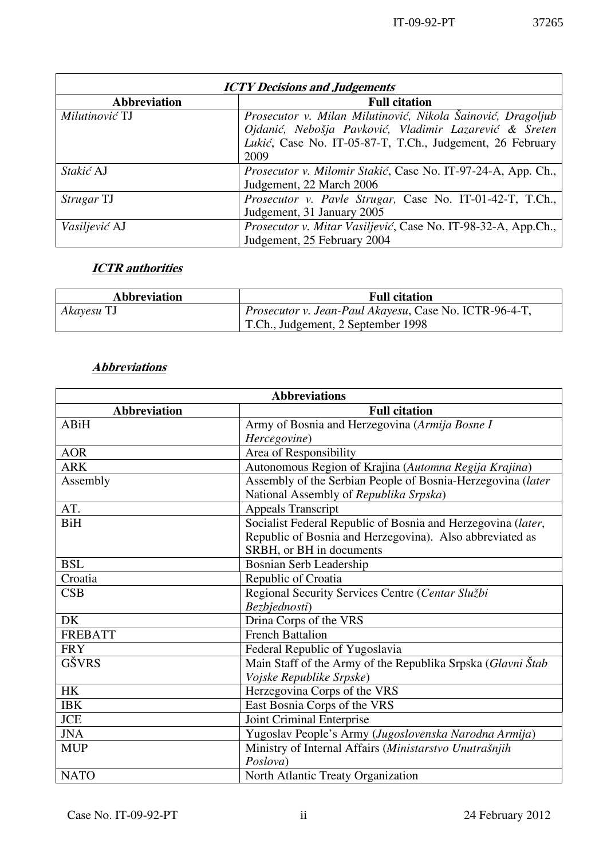| <b>ICTY Decisions and Judgements</b>        |                                                               |  |
|---------------------------------------------|---------------------------------------------------------------|--|
| <b>Abbreviation</b><br><b>Full citation</b> |                                                               |  |
| Milutinović TJ                              | Prosecutor v. Milan Milutinović, Nikola Šainović, Dragoljub   |  |
|                                             | Ojdanić, Nebošja Pavković, Vladimir Lazarević & Sreten        |  |
|                                             | Lukić, Case No. IT-05-87-T, T.Ch., Judgement, 26 February     |  |
|                                             | 2009                                                          |  |
| Stakić AJ                                   | Prosecutor v. Milomir Stakić, Case No. IT-97-24-A, App. Ch.,  |  |
|                                             | Judgement, 22 March 2006                                      |  |
| <i>Strugar</i> TJ                           | Prosecutor v. Pavle Strugar, Case No. IT-01-42-T, T.Ch.,      |  |
|                                             | Judgement, 31 January 2005                                    |  |
| Vasiljević AJ                               | Prosecutor v. Mitar Vasiljević, Case No. IT-98-32-A, App.Ch., |  |
|                                             | Judgement, 25 February 2004                                   |  |

# **ICTR** authorities

| Abbreviation | <b>Full citation</b>                                          |
|--------------|---------------------------------------------------------------|
| Akayesu TJ   | <i>Prosecutor v. Jean-Paul Akayesu, Case No. ICTR-96-4-T,</i> |
|              | T.Ch., Judgement, 2 September 1998                            |

## **Abbreviations**

| <b>Abbreviations</b>                        |                                                              |  |
|---------------------------------------------|--------------------------------------------------------------|--|
| <b>Abbreviation</b><br><b>Full citation</b> |                                                              |  |
| <b>ABiH</b>                                 | Army of Bosnia and Herzegovina (Armija Bosne I               |  |
|                                             | Hercegovine)                                                 |  |
| <b>AOR</b>                                  | Area of Responsibility                                       |  |
| <b>ARK</b>                                  | Autonomous Region of Krajina (Automna Regija Krajina)        |  |
| Assembly                                    | Assembly of the Serbian People of Bosnia-Herzegovina (later  |  |
|                                             | National Assembly of Republika Srpska)                       |  |
| AT.                                         | <b>Appeals Transcript</b>                                    |  |
| <b>BiH</b>                                  | Socialist Federal Republic of Bosnia and Herzegovina (later, |  |
|                                             | Republic of Bosnia and Herzegovina). Also abbreviated as     |  |
|                                             | SRBH, or BH in documents                                     |  |
| <b>BSL</b>                                  | Bosnian Serb Leadership                                      |  |
| Croatia                                     | Republic of Croatia                                          |  |
| CSB                                         | Regional Security Services Centre (Centar Službi             |  |
|                                             | Bezbjednosti)                                                |  |
| <b>DK</b>                                   | Drina Corps of the VRS                                       |  |
| <b>FREBATT</b>                              | <b>French Battalion</b>                                      |  |
| <b>FRY</b>                                  | Federal Republic of Yugoslavia                               |  |
| GŠVRS                                       | Main Staff of the Army of the Republika Srpska (Glavni Štab  |  |
|                                             | Vojske Republike Srpske)                                     |  |
| <b>HK</b>                                   | Herzegovina Corps of the VRS                                 |  |
| <b>IBK</b>                                  | East Bosnia Corps of the VRS                                 |  |
| <b>JCE</b>                                  | Joint Criminal Enterprise                                    |  |
| <b>JNA</b>                                  | Yugoslav People's Army (Jugoslovenska Narodna Armija)        |  |
| <b>MUP</b>                                  | Ministry of Internal Affairs (Ministarstvo Unutrašnjih       |  |
|                                             | Poslova)                                                     |  |
| <b>NATO</b>                                 | North Atlantic Treaty Organization                           |  |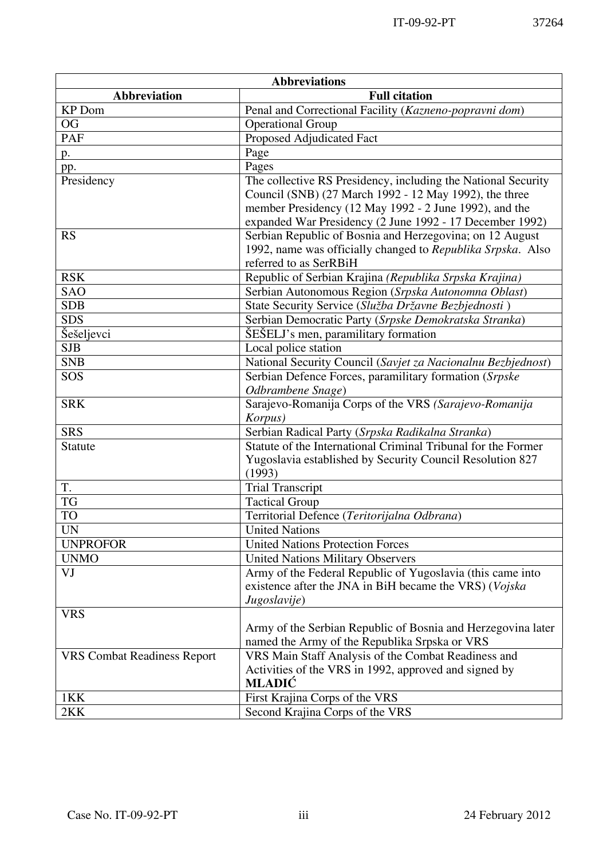| <b>Abbreviations</b>               |                                                                        |  |
|------------------------------------|------------------------------------------------------------------------|--|
| Abbreviation                       | <b>Full citation</b>                                                   |  |
| <b>KP</b> Dom                      | Penal and Correctional Facility (Kazneno-popravni dom)                 |  |
| <b>OG</b>                          | <b>Operational Group</b>                                               |  |
| <b>PAF</b>                         | Proposed Adjudicated Fact                                              |  |
| p.                                 | Page                                                                   |  |
| pp.                                | Pages                                                                  |  |
| Presidency                         | The collective RS Presidency, including the National Security          |  |
|                                    | Council (SNB) (27 March 1992 - 12 May 1992), the three                 |  |
|                                    | member Presidency (12 May 1992 - 2 June 1992), and the                 |  |
|                                    | expanded War Presidency (2 June 1992 - 17 December 1992)               |  |
| <b>RS</b>                          | Serbian Republic of Bosnia and Herzegovina; on 12 August               |  |
|                                    | 1992, name was officially changed to Republika Srpska. Also            |  |
|                                    | referred to as SerRBiH                                                 |  |
| <b>RSK</b>                         | Republic of Serbian Krajina (Republika Srpska Krajina)                 |  |
| SAO                                | Serbian Autonomous Region (Srpska Autonomna Oblast)                    |  |
| <b>SDB</b>                         | State Security Service (Služba Državne Bezbjednosti)                   |  |
| <b>SDS</b>                         | Serbian Democratic Party (Srpske Demokratska Stranka)                  |  |
| Šešeljevci                         | ŠEŠELJ's men, paramilitary formation                                   |  |
| <b>SJB</b>                         | Local police station                                                   |  |
| <b>SNB</b>                         | National Security Council (Savjet za Nacionalnu Bezbjednost)           |  |
| SOS                                | Serbian Defence Forces, paramilitary formation (Srpske                 |  |
|                                    | Odbrambene Snage)                                                      |  |
| <b>SRK</b>                         | Sarajevo-Romanija Corps of the VRS (Sarajevo-Romanija                  |  |
|                                    | Korpus)                                                                |  |
| <b>SRS</b>                         | Serbian Radical Party (Srpska Radikalna Stranka)                       |  |
| <b>Statute</b>                     | Statute of the International Criminal Tribunal for the Former          |  |
|                                    | Yugoslavia established by Security Council Resolution 827              |  |
|                                    | (1993)                                                                 |  |
| T.<br><b>TG</b>                    | <b>Trial Transcript</b>                                                |  |
|                                    | <b>Tactical Group</b>                                                  |  |
| <b>TO</b>                          | Territorial Defence (Teritorijalna Odbrana)                            |  |
| <b>UN</b>                          | <b>United Nations</b>                                                  |  |
| <b>UNPROFOR</b>                    | <b>United Nations Protection Forces</b>                                |  |
| <b>UNMO</b>                        | <b>United Nations Military Observers</b>                               |  |
| VJ                                 | Army of the Federal Republic of Yugoslavia (this came into             |  |
|                                    | existence after the JNA in BiH became the VRS) (Vojska<br>Jugoslavije) |  |
| <b>VRS</b>                         |                                                                        |  |
|                                    | Army of the Serbian Republic of Bosnia and Herzegovina later           |  |
|                                    | named the Army of the Republika Srpska or VRS                          |  |
| <b>VRS Combat Readiness Report</b> | VRS Main Staff Analysis of the Combat Readiness and                    |  |
|                                    | Activities of the VRS in 1992, approved and signed by                  |  |
|                                    | <b>MLADIĆ</b>                                                          |  |
| 1KK                                | First Krajina Corps of the VRS                                         |  |
| 2KK                                | Second Krajina Corps of the VRS                                        |  |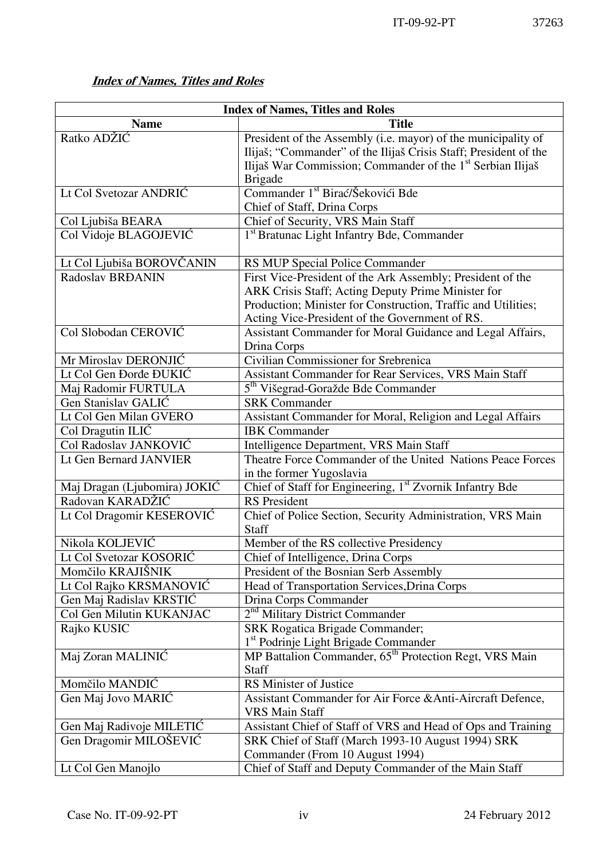# Index of Names, Titles and Roles

| <b>Index of Names, Titles and Roles</b> |                                                                                                                                                                                                                                     |  |
|-----------------------------------------|-------------------------------------------------------------------------------------------------------------------------------------------------------------------------------------------------------------------------------------|--|
| <b>Name</b>                             | <b>Title</b>                                                                                                                                                                                                                        |  |
| Ratko ADŽIĆ                             | President of the Assembly (i.e. mayor) of the municipality of<br>Ilijaš; "Commander" of the Ilijaš Crisis Staff; President of the<br>Ilijaš War Commission; Commander of the 1 <sup>st</sup> Serbian Ilijaš<br><b>Brigade</b>       |  |
| Lt Col Svetozar ANDRIC                  | Commander 1 <sup>st</sup> Birać/Šekovići Bde<br>Chief of Staff, Drina Corps                                                                                                                                                         |  |
| Col Ljubiša BEARA                       | Chief of Security, VRS Main Staff                                                                                                                                                                                                   |  |
| Col Vidoje BLAGOJEVIĆ                   | 1 <sup>st</sup> Bratunac Light Infantry Bde, Commander                                                                                                                                                                              |  |
| Lt Col Ljubiša BOROVČANIN               | RS MUP Special Police Commander                                                                                                                                                                                                     |  |
| Radoslav BRĐANIN                        | First Vice-President of the Ark Assembly; President of the<br>ARK Crisis Staff; Acting Deputy Prime Minister for<br>Production; Minister for Construction, Traffic and Utilities;<br>Acting Vice-President of the Government of RS. |  |
| Col Slobodan CEROVIĆ                    | Assistant Commander for Moral Guidance and Legal Affairs,<br>Drina Corps                                                                                                                                                            |  |
| Mr Miroslav DERONJIĆ                    | Civilian Commissioner for Srebrenica                                                                                                                                                                                                |  |
| Lt Col Gen Đorđe ĐUKIĆ                  | Assistant Commander for Rear Services, VRS Main Staff                                                                                                                                                                               |  |
| Maj Radomir FURTULA                     | 5 <sup>th</sup> Višegrad-Goražde Bde Commander                                                                                                                                                                                      |  |
| Gen Stanislav GALIĆ                     | <b>SRK Commander</b>                                                                                                                                                                                                                |  |
| Lt Col Gen Milan GVERO                  | Assistant Commander for Moral, Religion and Legal Affairs                                                                                                                                                                           |  |
| Col Dragutin ILIĆ                       | <b>IBK</b> Commander                                                                                                                                                                                                                |  |
| Col Radoslav JANKOVIĆ                   | Intelligence Department, VRS Main Staff                                                                                                                                                                                             |  |
| Lt Gen Bernard JANVIER                  | Theatre Force Commander of the United Nations Peace Forces<br>in the former Yugoslavia                                                                                                                                              |  |
| Maj Dragan (Ljubomira) JOKIĆ            | Chief of Staff for Engineering, 1st Zvornik Infantry Bde                                                                                                                                                                            |  |
| Radovan KARADŽIĆ                        | <b>RS</b> President                                                                                                                                                                                                                 |  |
| Lt Col Dragomir KESEROVIĆ               | Chief of Police Section, Security Administration, VRS Main<br>Staff                                                                                                                                                                 |  |
| Nikola KOLJEVIĆ                         | Member of the RS collective Presidency                                                                                                                                                                                              |  |
| Lt Col Svetozar KOSORIĆ                 | Chief of Intelligence, Drina Corps                                                                                                                                                                                                  |  |
| Momčilo KRAJIŠNIK                       | President of the Bosnian Serb Assembly                                                                                                                                                                                              |  |
| Lt Col Rajko KRSMANOVIĆ                 | Head of Transportation Services, Drina Corps                                                                                                                                                                                        |  |
| Gen Maj Radislav KRSTIĆ                 | Drina Corps Commander                                                                                                                                                                                                               |  |
| Col Gen Milutin KUKANJAC                | 2 <sup>nd</sup> Military District Commander                                                                                                                                                                                         |  |
| Rajko KUSIC                             | <b>SRK Rogatica Brigade Commander;</b><br>1 <sup>st</sup> Podrinje Light Brigade Commander                                                                                                                                          |  |
| Maj Zoran MALINIĆ                       | MP Battalion Commander, 65 <sup>th</sup> Protection Regt, VRS Main<br><b>Staff</b>                                                                                                                                                  |  |
| Momčilo MANDIĆ                          | RS Minister of Justice                                                                                                                                                                                                              |  |
| Gen Maj Jovo MARIĆ                      | Assistant Commander for Air Force & Anti-Aircraft Defence,<br><b>VRS Main Staff</b>                                                                                                                                                 |  |
| Gen Maj Radivoje MILETIĆ                | Assistant Chief of Staff of VRS and Head of Ops and Training                                                                                                                                                                        |  |
| Gen Dragomir MILOŠEVIĆ                  | SRK Chief of Staff (March 1993-10 August 1994) SRK<br>Commander (From 10 August 1994)                                                                                                                                               |  |
| Lt Col Gen Manojlo                      | Chief of Staff and Deputy Commander of the Main Staff                                                                                                                                                                               |  |